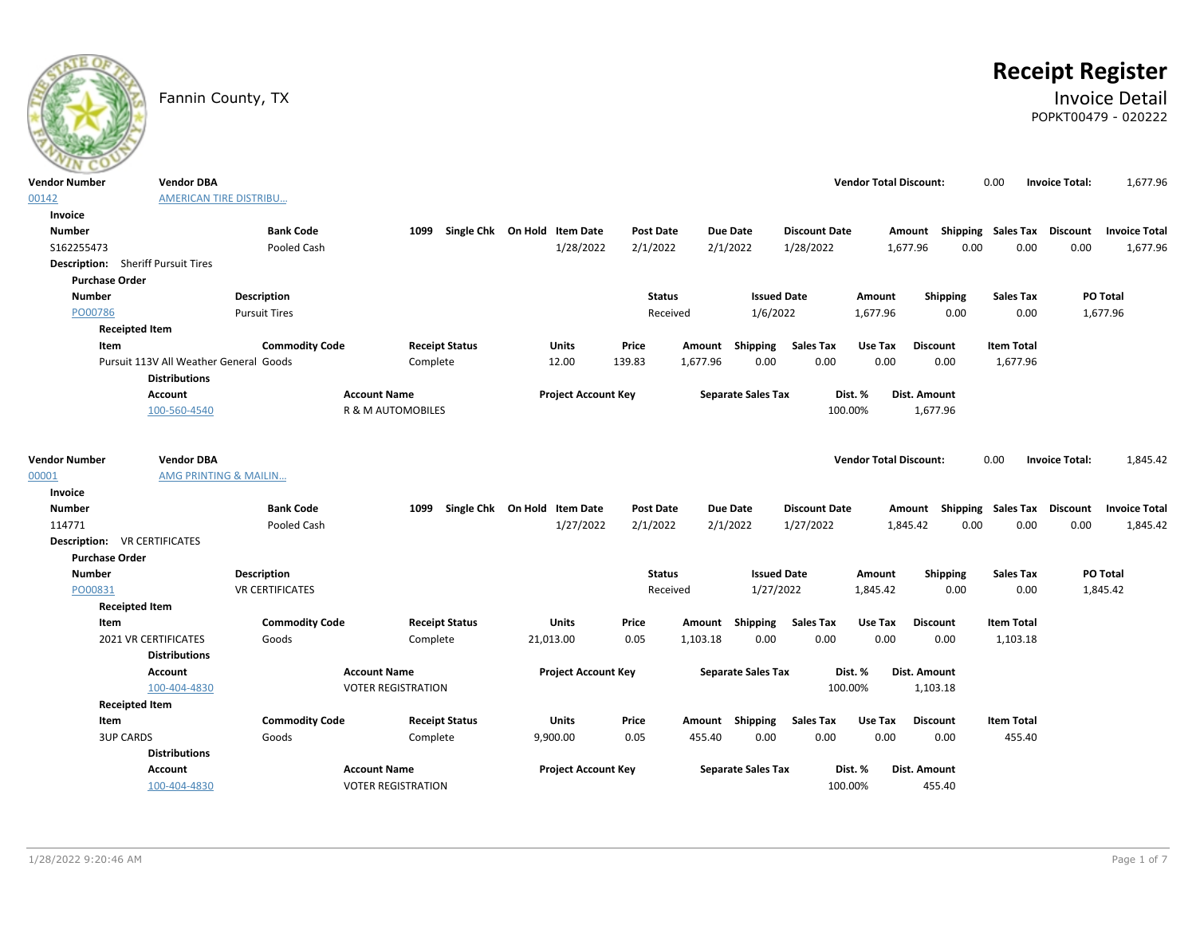

# **Receipt Register**

### Fannin County, TX **Invoice Detail** POPKT00479 - 020222

| <b>Vendor Number</b>  | <b>Vendor DBA</b>                         |                        |                                   |                              |                  |                           |                                              | <b>Vendor Total Discount:</b> |                                    | 0.00                          | <b>Invoice Total:</b> | 1,677.96             |
|-----------------------|-------------------------------------------|------------------------|-----------------------------------|------------------------------|------------------|---------------------------|----------------------------------------------|-------------------------------|------------------------------------|-------------------------------|-----------------------|----------------------|
| 00142                 | <b>AMERICAN TIRE DISTRIBU</b>             |                        |                                   |                              |                  |                           |                                              |                               |                                    |                               |                       |                      |
| Invoice               |                                           |                        |                                   |                              |                  |                           |                                              |                               |                                    |                               |                       |                      |
| <b>Number</b>         |                                           | <b>Bank Code</b>       | 1099                              | Single Chk On Hold Item Date | Post Date        | <b>Due Date</b>           | <b>Discount Date</b>                         |                               | Amount                             | Shipping Sales Tax            | Discount              | <b>Invoice Total</b> |
| S162255473            |                                           | Pooled Cash            |                                   | 1/28/2022                    | 2/1/2022         | 2/1/2022                  | 1/28/2022                                    | 1,677.96                      | 0.00                               | 0.00                          | 0.00                  | 1,677.96             |
|                       | <b>Description:</b> Sheriff Pursuit Tires |                        |                                   |                              |                  |                           |                                              |                               |                                    |                               |                       |                      |
| <b>Purchase Order</b> |                                           |                        |                                   |                              |                  |                           |                                              |                               |                                    |                               |                       |                      |
| <b>Number</b>         |                                           | Description            |                                   |                              | <b>Status</b>    |                           | <b>Issued Date</b>                           | Amount                        | Shipping                           | <b>Sales Tax</b>              |                       | PO Total             |
| PO00786               |                                           | <b>Pursuit Tires</b>   |                                   |                              | Received         |                           | 1/6/2022                                     | 1,677.96                      | 0.00                               | 0.00                          |                       | 1,677.96             |
|                       | <b>Receipted Item</b>                     |                        |                                   |                              |                  |                           |                                              |                               |                                    |                               |                       |                      |
| Item                  | Pursuit 113V All Weather General Goods    | <b>Commodity Code</b>  | <b>Receipt Status</b><br>Complete | <b>Units</b><br>12.00        | Price<br>139.83  | Amount<br>1,677.96        | Shipping<br><b>Sales Tax</b><br>0.00<br>0.00 | Use Tax<br>0.00               | <b>Discount</b><br>0.00            | <b>Item Total</b><br>1,677.96 |                       |                      |
|                       | <b>Distributions</b>                      |                        |                                   |                              |                  |                           |                                              |                               |                                    |                               |                       |                      |
|                       | <b>Account</b>                            |                        | <b>Account Name</b>               | <b>Project Account Key</b>   |                  | <b>Separate Sales Tax</b> |                                              | Dist. %                       | Dist. Amount                       |                               |                       |                      |
|                       | 100-560-4540                              |                        | R & M AUTOMOBILES                 |                              |                  |                           |                                              | 100.00%                       | 1,677.96                           |                               |                       |                      |
|                       |                                           |                        |                                   |                              |                  |                           |                                              |                               |                                    |                               |                       |                      |
|                       | <b>Vendor DBA</b>                         |                        |                                   |                              |                  |                           |                                              |                               |                                    |                               |                       |                      |
| <b>Vendor Number</b>  |                                           |                        |                                   |                              |                  |                           |                                              | <b>Vendor Total Discount:</b> |                                    | 0.00                          | <b>Invoice Total:</b> | 1,845.42             |
| 00001<br>Invoice      | AMG PRINTING & MAILIN                     |                        |                                   |                              |                  |                           |                                              |                               |                                    |                               |                       |                      |
| <b>Number</b>         |                                           | <b>Bank Code</b>       | 1099                              | Single Chk On Hold Item Date | <b>Post Date</b> | <b>Due Date</b>           | <b>Discount Date</b>                         |                               | Amount Shipping Sales Tax Discount |                               |                       | <b>Invoice Total</b> |
| 114771                |                                           | Pooled Cash            |                                   | 1/27/2022                    | 2/1/2022         | 2/1/2022                  | 1/27/2022                                    | 1,845.42                      | 0.00                               | 0.00                          | 0.00                  | 1,845.42             |
|                       | <b>Description: VR CERTIFICATES</b>       |                        |                                   |                              |                  |                           |                                              |                               |                                    |                               |                       |                      |
| <b>Purchase Order</b> |                                           |                        |                                   |                              |                  |                           |                                              |                               |                                    |                               |                       |                      |
| <b>Number</b>         |                                           | <b>Description</b>     |                                   |                              | <b>Status</b>    |                           | <b>Issued Date</b>                           | Amount                        | Shipping                           | <b>Sales Tax</b>              |                       | PO Total             |
| PO00831               |                                           | <b>VR CERTIFICATES</b> |                                   |                              | Received         |                           | 1/27/2022                                    | 1,845.42                      | 0.00                               | 0.00                          |                       | 1,845.42             |
|                       | <b>Receipted Item</b>                     |                        |                                   |                              |                  |                           |                                              |                               |                                    |                               |                       |                      |
| Item                  |                                           | <b>Commodity Code</b>  | <b>Receipt Status</b>             | <b>Units</b>                 | Price            | Amount                    | <b>Sales Tax</b><br>Shipping                 | Use Tax                       | <b>Discount</b>                    | <b>Item Total</b>             |                       |                      |
|                       | 2021 VR CERTIFICATES                      | Goods                  | Complete                          | 21,013.00                    | 0.05             | 1,103.18                  | 0.00<br>0.00                                 | 0.00                          | 0.00                               | 1,103.18                      |                       |                      |
|                       | <b>Distributions</b>                      |                        |                                   |                              |                  |                           |                                              |                               |                                    |                               |                       |                      |
|                       | <b>Account</b>                            |                        | <b>Account Name</b>               | <b>Project Account Key</b>   |                  | <b>Separate Sales Tax</b> |                                              | Dist. %                       | Dist. Amount                       |                               |                       |                      |
|                       | 100-404-4830                              |                        | <b>VOTER REGISTRATION</b>         |                              |                  |                           |                                              | 100.00%                       | 1,103.18                           |                               |                       |                      |
|                       | <b>Receipted Item</b>                     |                        |                                   |                              |                  |                           |                                              |                               |                                    |                               |                       |                      |
| Item                  |                                           | <b>Commodity Code</b>  | <b>Receipt Status</b>             | Units                        | Price            | Amount Shipping           | <b>Sales Tax</b>                             | Use Tax                       | <b>Discount</b>                    | <b>Item Total</b>             |                       |                      |
|                       | <b>3UP CARDS</b>                          | Goods                  | Complete                          | 9,900.00                     | 0.05             | 455.40                    | 0.00<br>0.00                                 | 0.00                          | 0.00                               | 455.40                        |                       |                      |
|                       | <b>Distributions</b>                      |                        |                                   |                              |                  |                           |                                              |                               |                                    |                               |                       |                      |
|                       | <b>Account</b>                            |                        | <b>Account Name</b>               | <b>Project Account Key</b>   |                  | <b>Separate Sales Tax</b> |                                              | Dist. %                       | Dist. Amount                       |                               |                       |                      |
|                       | 100-404-4830                              |                        | <b>VOTER REGISTRATION</b>         |                              |                  |                           |                                              | 100.00%                       | 455.40                             |                               |                       |                      |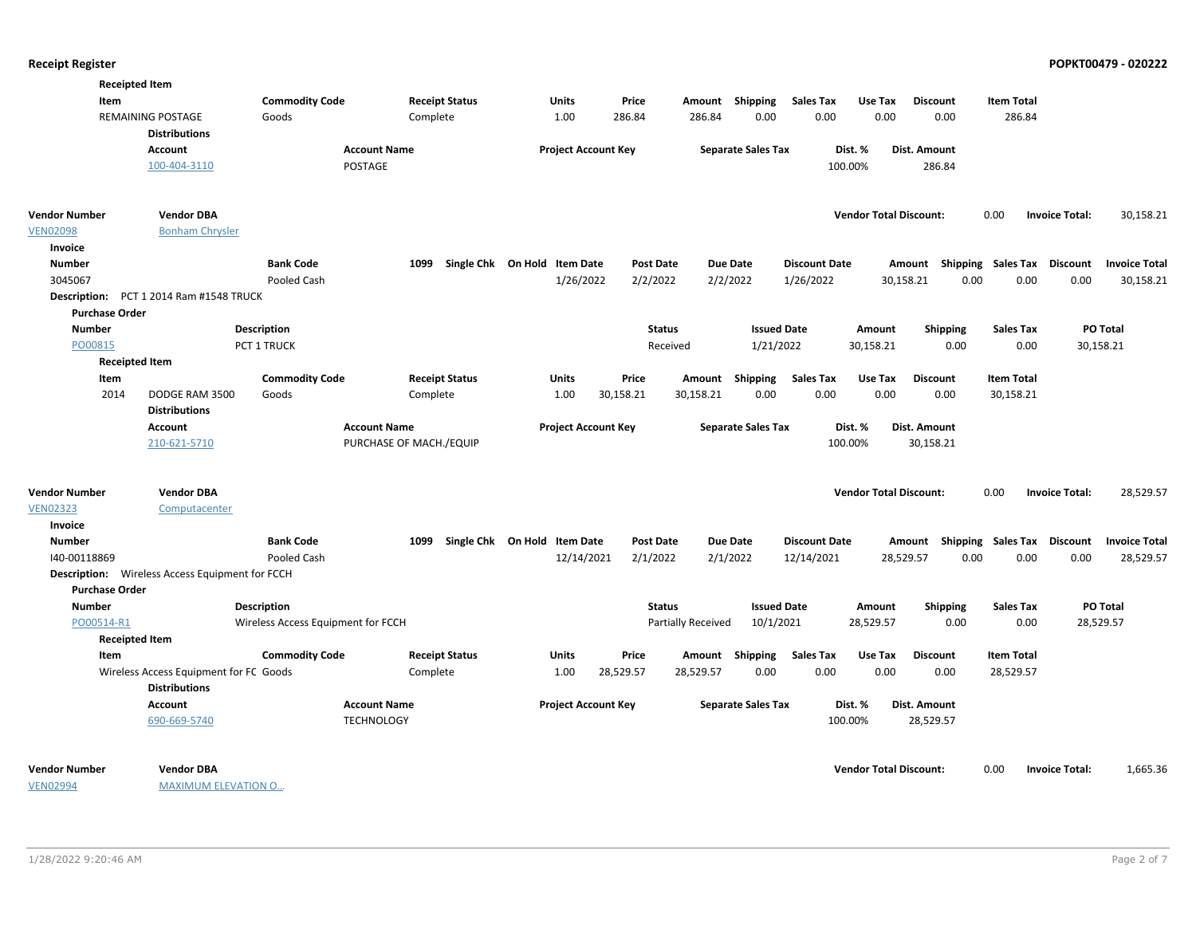|                       | <b>Receipted Item</b>                                  |                                    |                         |                              |                  |                                 |                              |                                    |                   |                                    |
|-----------------------|--------------------------------------------------------|------------------------------------|-------------------------|------------------------------|------------------|---------------------------------|------------------------------|------------------------------------|-------------------|------------------------------------|
| Item                  |                                                        | <b>Commodity Code</b>              | <b>Receipt Status</b>   | Units                        | Price            | Amount Shipping                 | <b>Sales Tax</b><br>Use Tax  | <b>Discount</b>                    | <b>Item Total</b> |                                    |
|                       | <b>REMAINING POSTAGE</b>                               | Goods                              | Complete                | 1.00                         | 286.84           | 286.84<br>0.00                  | 0.00                         | 0.00<br>0.00                       | 286.84            |                                    |
|                       | <b>Distributions</b>                                   |                                    |                         |                              |                  |                                 |                              |                                    |                   |                                    |
|                       | Account                                                | <b>Account Name</b>                |                         | <b>Project Account Key</b>   |                  | <b>Separate Sales Tax</b>       | Dist. %                      | Dist. Amount                       |                   |                                    |
|                       | 100-404-3110                                           | POSTAGE                            |                         |                              |                  |                                 | 100.00%                      | 286.84                             |                   |                                    |
|                       |                                                        |                                    |                         |                              |                  |                                 |                              |                                    |                   |                                    |
| <b>Vendor Number</b>  | <b>Vendor DBA</b>                                      |                                    |                         |                              |                  |                                 |                              | <b>Vendor Total Discount:</b>      | 0.00              | 30,158.21<br><b>Invoice Total:</b> |
| <b>VEN02098</b>       | <b>Bonham Chrysler</b>                                 |                                    |                         |                              |                  |                                 |                              |                                    |                   |                                    |
| Invoice               |                                                        |                                    |                         |                              |                  |                                 |                              |                                    |                   |                                    |
| <b>Number</b>         |                                                        | <b>Bank Code</b>                   | 1099                    | Single Chk On Hold Item Date | <b>Post Date</b> | <b>Due Date</b>                 | <b>Discount Date</b>         | Amount Shipping Sales Tax Discount |                   | <b>Invoice Total</b>               |
| 3045067               |                                                        | Pooled Cash                        |                         | 1/26/2022                    | 2/2/2022         | 2/2/2022                        | 1/26/2022                    | 0.00<br>30,158.21                  | 0.00              | 0.00<br>30,158.21                  |
| <b>Description:</b>   | PCT 1 2014 Ram #1548 TRUCK                             |                                    |                         |                              |                  |                                 |                              |                                    |                   |                                    |
| <b>Purchase Order</b> |                                                        |                                    |                         |                              |                  |                                 |                              |                                    |                   |                                    |
| <b>Number</b>         |                                                        | <b>Description</b>                 |                         |                              | <b>Status</b>    |                                 | <b>Issued Date</b><br>Amount | <b>Shipping</b>                    | <b>Sales Tax</b>  | <b>PO Total</b>                    |
| PO00815               |                                                        | PCT 1 TRUCK                        |                         |                              | Received         | 1/21/2022                       | 30,158.21                    | 0.00                               | 0.00              | 30,158.21                          |
|                       | <b>Receipted Item</b>                                  |                                    |                         |                              |                  |                                 |                              |                                    |                   |                                    |
| Item                  |                                                        | <b>Commodity Code</b>              | <b>Receipt Status</b>   | Units                        | Price            | Amount Shipping                 | <b>Sales Tax</b><br>Use Tax  | <b>Discount</b>                    | <b>Item Total</b> |                                    |
| 2014                  | DODGE RAM 3500                                         | Goods                              | Complete                | 1.00                         | 30,158.21        | 30,158.21<br>0.00               | 0.00                         | 0.00<br>0.00                       | 30,158.21         |                                    |
|                       | <b>Distributions</b>                                   |                                    |                         |                              |                  |                                 |                              |                                    |                   |                                    |
|                       | Account                                                | <b>Account Name</b>                |                         | <b>Project Account Key</b>   |                  | <b>Separate Sales Tax</b>       | Dist. %                      | Dist. Amount                       |                   |                                    |
|                       | 210-621-5710                                           |                                    | PURCHASE OF MACH./EQUIP |                              |                  |                                 | 100.00%                      | 30,158.21                          |                   |                                    |
|                       |                                                        |                                    |                         |                              |                  |                                 |                              |                                    |                   |                                    |
| <b>Vendor Number</b>  | <b>Vendor DBA</b>                                      |                                    |                         |                              |                  |                                 |                              | <b>Vendor Total Discount:</b>      | 0.00              | 28,529.57<br><b>Invoice Total:</b> |
| <b>VEN02323</b>       | Computacenter                                          |                                    |                         |                              |                  |                                 |                              |                                    |                   |                                    |
| Invoice               |                                                        |                                    |                         |                              |                  |                                 |                              |                                    |                   |                                    |
| <b>Number</b>         |                                                        | <b>Bank Code</b>                   | 1099                    | Single Chk On Hold Item Date | <b>Post Date</b> | <b>Due Date</b>                 | <b>Discount Date</b>         | Amount Shipping Sales Tax Discount |                   | <b>Invoice Total</b>               |
| 140-00118869          |                                                        | Pooled Cash                        |                         | 12/14/2021                   | 2/1/2022         | 2/1/2022                        | 12/14/2021                   | 28,529.57<br>0.00                  | 0.00              | 0.00<br>28,529.57                  |
|                       | <b>Description:</b> Wireless Access Equipment for FCCH |                                    |                         |                              |                  |                                 |                              |                                    |                   |                                    |
| <b>Purchase Order</b> |                                                        |                                    |                         |                              |                  |                                 |                              |                                    |                   |                                    |
| <b>Number</b>         |                                                        | <b>Description</b>                 |                         |                              | <b>Status</b>    |                                 | <b>Issued Date</b><br>Amount | <b>Shipping</b>                    | <b>Sales Tax</b>  | PO Total                           |
| PO00514-R1            |                                                        | Wireless Access Equipment for FCCH |                         |                              |                  | 10/1/2021<br>Partially Received | 28,529.57                    | 0.00                               | 0.00              | 28,529.57                          |
|                       | <b>Receipted Item</b>                                  |                                    |                         |                              |                  |                                 |                              |                                    |                   |                                    |
| Item                  |                                                        | <b>Commodity Code</b>              | <b>Receipt Status</b>   | Units                        | Price            | Amount Shipping                 | <b>Sales Tax</b><br>Use Tax  | <b>Discount</b>                    | <b>Item Total</b> |                                    |
|                       | Wireless Access Equipment for FC Goods                 |                                    | Complete                | 1.00                         | 28,529.57        | 0.00<br>28,529.57               | 0.00                         | 0.00<br>0.00                       | 28,529.57         |                                    |
|                       | <b>Distributions</b>                                   |                                    |                         |                              |                  |                                 |                              |                                    |                   |                                    |
|                       | <b>Account</b>                                         | <b>Account Name</b>                |                         | <b>Project Account Key</b>   |                  | <b>Separate Sales Tax</b>       | Dist. %                      | Dist. Amount                       |                   |                                    |
|                       | 690-669-5740                                           | <b>TECHNOLOGY</b>                  |                         |                              |                  |                                 | 100.00%                      | 28,529.57                          |                   |                                    |
|                       |                                                        |                                    |                         |                              |                  |                                 |                              |                                    |                   |                                    |
| <b>Vendor Number</b>  | <b>Vendor DBA</b>                                      |                                    |                         |                              |                  |                                 |                              | <b>Vendor Total Discount:</b>      | 0.00              | 1,665.36<br><b>Invoice Total:</b>  |
| <b>VEN02994</b>       | <b>MAXIMUM ELEVATION O</b>                             |                                    |                         |                              |                  |                                 |                              |                                    |                   |                                    |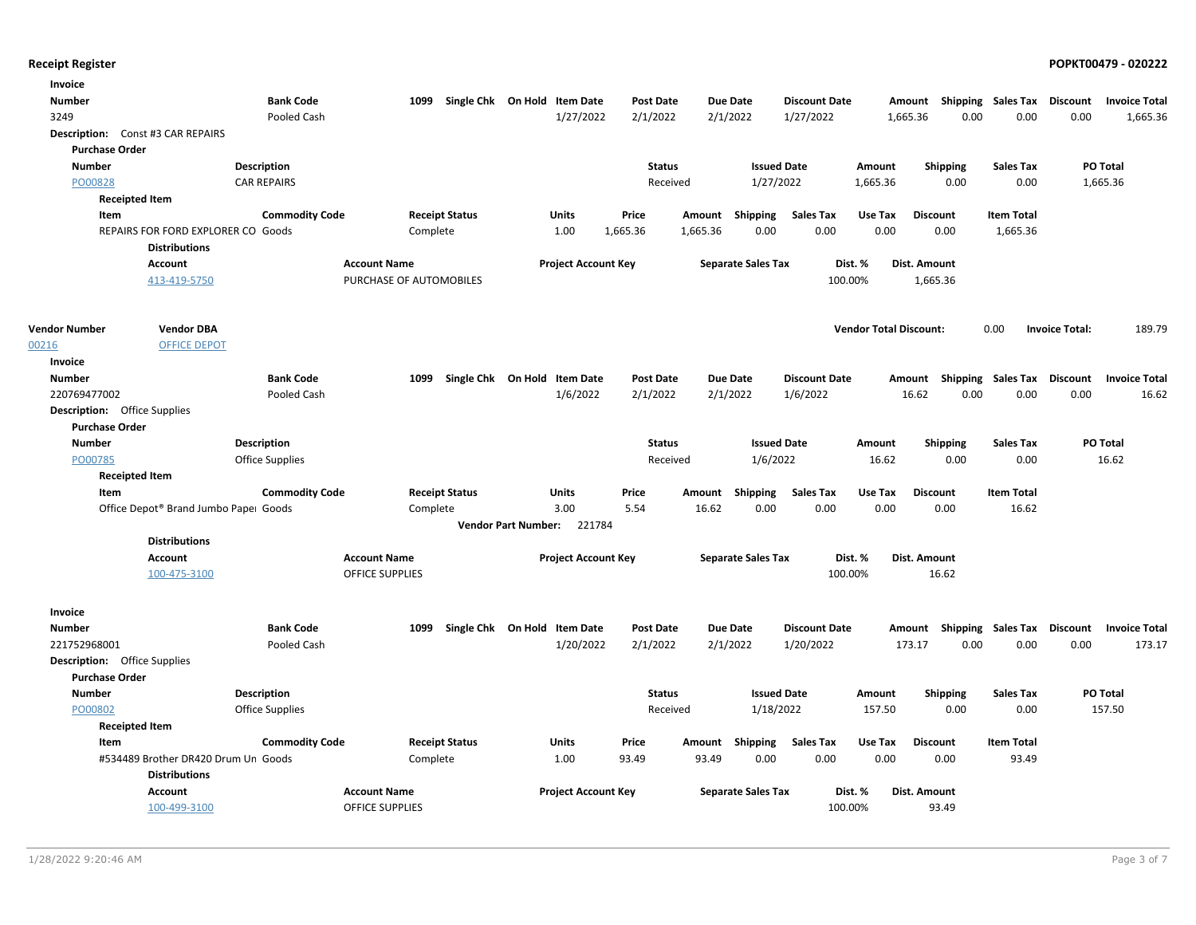| Invoice                             |                                                             |                        |                         |                              |                            |                  |                 |                           |                      |                               |                 |                           |                       |                      |
|-------------------------------------|-------------------------------------------------------------|------------------------|-------------------------|------------------------------|----------------------------|------------------|-----------------|---------------------------|----------------------|-------------------------------|-----------------|---------------------------|-----------------------|----------------------|
| <b>Number</b>                       |                                                             | <b>Bank Code</b>       | 1099                    | Single Chk On Hold Item Date |                            | <b>Post Date</b> |                 | <b>Due Date</b>           | <b>Discount Date</b> | Amount                        |                 | <b>Shipping Sales Tax</b> | Discount              | <b>Invoice Total</b> |
| 3249                                |                                                             | Pooled Cash            |                         |                              | 1/27/2022                  | 2/1/2022         |                 | 2/1/2022                  | 1/27/2022            | 1,665.36                      | 0.00            | 0.00                      | 0.00                  | 1,665.36             |
|                                     | Description: Const #3 CAR REPAIRS                           |                        |                         |                              |                            |                  |                 |                           |                      |                               |                 |                           |                       |                      |
| <b>Purchase Order</b>               |                                                             |                        |                         |                              |                            |                  |                 |                           |                      |                               |                 |                           |                       |                      |
| <b>Number</b>                       |                                                             | <b>Description</b>     |                         |                              |                            | <b>Status</b>    |                 | <b>Issued Date</b>        |                      | Amount                        | <b>Shipping</b> | <b>Sales Tax</b>          |                       | PO Total             |
| PO00828                             |                                                             | <b>CAR REPAIRS</b>     |                         |                              |                            | Received         |                 | 1/27/2022                 |                      | 1,665.36                      | 0.00            | 0.00                      |                       | 1,665.36             |
| <b>Receipted Item</b>               |                                                             |                        |                         |                              |                            |                  |                 |                           |                      |                               |                 |                           |                       |                      |
| Item                                |                                                             | <b>Commodity Code</b>  |                         | <b>Receipt Status</b>        | Units                      | Price            | Amount          | Shipping                  | <b>Sales Tax</b>     | Use Tax                       | <b>Discount</b> | <b>Item Total</b>         |                       |                      |
|                                     | REPAIRS FOR FORD EXPLORER CO Goods                          |                        | Complete                |                              | 1.00                       | 1,665.36         | 1,665.36        | 0.00                      | 0.00                 | 0.00                          | 0.00            | 1,665.36                  |                       |                      |
|                                     | <b>Distributions</b>                                        |                        |                         |                              |                            |                  |                 |                           |                      |                               |                 |                           |                       |                      |
|                                     | <b>Account</b>                                              |                        | <b>Account Name</b>     |                              | <b>Project Account Key</b> |                  |                 | <b>Separate Sales Tax</b> | Dist. %              |                               | Dist. Amount    |                           |                       |                      |
|                                     | 413-419-5750                                                |                        | PURCHASE OF AUTOMOBILES |                              |                            |                  |                 |                           | 100.00%              |                               | 1,665.36        |                           |                       |                      |
| <b>Vendor Number</b>                | <b>Vendor DBA</b>                                           |                        |                         |                              |                            |                  |                 |                           |                      | <b>Vendor Total Discount:</b> |                 | 0.00                      | <b>Invoice Total:</b> | 189.79               |
| 00216                               | <b>OFFICE DEPOT</b>                                         |                        |                         |                              |                            |                  |                 |                           |                      |                               |                 |                           |                       |                      |
| Invoice                             |                                                             |                        |                         |                              |                            |                  |                 |                           |                      |                               |                 |                           |                       |                      |
| <b>Number</b>                       |                                                             | <b>Bank Code</b>       | 1099                    | Single Chk On Hold Item Date |                            | <b>Post Date</b> |                 | <b>Due Date</b>           | <b>Discount Date</b> | Amount                        |                 | <b>Shipping Sales Tax</b> | Discount              | <b>Invoice Total</b> |
| 220769477002                        |                                                             | Pooled Cash            |                         |                              | 1/6/2022                   | 2/1/2022         | 2/1/2022        |                           | 1/6/2022             |                               | 16.62<br>0.00   | 0.00                      | 0.00                  | 16.62                |
| <b>Description:</b> Office Supplies |                                                             |                        |                         |                              |                            |                  |                 |                           |                      |                               |                 |                           |                       |                      |
| <b>Purchase Order</b>               |                                                             |                        |                         |                              |                            |                  |                 |                           |                      |                               |                 |                           |                       |                      |
| <b>Number</b>                       |                                                             | Description            |                         |                              |                            | <b>Status</b>    |                 | <b>Issued Date</b>        |                      | Amount                        | <b>Shipping</b> | <b>Sales Tax</b>          |                       | PO Total             |
| PO00785                             |                                                             | <b>Office Supplies</b> |                         |                              |                            | Received         |                 | 1/6/2022                  |                      | 16.62                         | 0.00            | 0.00                      |                       | 16.62                |
| <b>Receipted Item</b>               |                                                             |                        |                         |                              |                            |                  |                 |                           |                      |                               |                 |                           |                       |                      |
| Item                                |                                                             | <b>Commodity Code</b>  |                         | <b>Receipt Status</b>        | Units                      | Price            | Amount          | Shipping                  | <b>Sales Tax</b>     | Use Tax                       | Discount        | <b>Item Total</b>         |                       |                      |
|                                     | Office Depot® Brand Jumbo Paper Goods                       |                        | Complete                |                              | 3.00                       | 5.54             | 16.62           | 0.00                      | 0.00                 | 0.00                          | 0.00            | 16.62                     |                       |                      |
|                                     |                                                             |                        |                         |                              | Vendor Part Number: 221784 |                  |                 |                           |                      |                               |                 |                           |                       |                      |
|                                     | <b>Distributions</b>                                        |                        |                         |                              |                            |                  |                 |                           |                      |                               |                 |                           |                       |                      |
|                                     | <b>Account</b>                                              |                        | <b>Account Name</b>     |                              | <b>Project Account Key</b> |                  |                 | <b>Separate Sales Tax</b> | Dist. %              |                               | Dist. Amount    |                           |                       |                      |
|                                     | 100-475-3100                                                |                        | <b>OFFICE SUPPLIES</b>  |                              |                            |                  |                 |                           | 100.00%              |                               | 16.62           |                           |                       |                      |
| Invoice                             |                                                             |                        |                         |                              |                            |                  |                 |                           |                      |                               |                 |                           |                       |                      |
| <b>Number</b>                       |                                                             | <b>Bank Code</b>       | 1099                    | Single Chk On Hold Item Date |                            | <b>Post Date</b> |                 | <b>Due Date</b>           | <b>Discount Date</b> | Amount                        |                 | <b>Shipping Sales Tax</b> | Discount              | <b>Invoice Total</b> |
| 221752968001                        |                                                             | Pooled Cash            |                         |                              | 1/20/2022                  | 2/1/2022         | 2/1/2022        |                           | 1/20/2022            | 173.17                        | 0.00            | 0.00                      | 0.00                  | 173.17               |
| <b>Description:</b> Office Supplies |                                                             |                        |                         |                              |                            |                  |                 |                           |                      |                               |                 |                           |                       |                      |
| <b>Purchase Order</b>               |                                                             |                        |                         |                              |                            |                  |                 |                           |                      |                               |                 |                           |                       |                      |
| <b>Number</b>                       |                                                             | <b>Description</b>     |                         |                              |                            | <b>Status</b>    |                 | <b>Issued Date</b>        |                      | Amount                        | <b>Shipping</b> | <b>Sales Tax</b>          |                       | PO Total             |
| PO00802                             |                                                             | <b>Office Supplies</b> |                         |                              |                            | Received         |                 | 1/18/2022                 |                      | 157.50                        | 0.00            | 0.00                      |                       | 157.50               |
| <b>Receipted Item</b>               |                                                             |                        |                         |                              |                            |                  |                 |                           |                      |                               |                 |                           |                       |                      |
| Item                                |                                                             | <b>Commodity Code</b>  |                         | <b>Receipt Status</b>        | Units                      | Price            | Amount Shipping |                           | <b>Sales Tax</b>     | Use Tax                       | <b>Discount</b> | <b>Item Total</b>         |                       |                      |
|                                     | #534489 Brother DR420 Drum Un Goods<br><b>Distributions</b> |                        | Complete                |                              | 1.00                       | 93.49            | 93.49           | 0.00                      | 0.00                 | 0.00                          | 0.00            | 93.49                     |                       |                      |
|                                     | <b>Account</b>                                              |                        | <b>Account Name</b>     |                              | <b>Project Account Key</b> |                  |                 |                           | Dist. %              |                               | Dist. Amount    |                           |                       |                      |
|                                     | 100-499-3100                                                |                        | <b>OFFICE SUPPLIES</b>  |                              |                            |                  |                 | <b>Separate Sales Tax</b> | 100.00%              |                               | 93.49           |                           |                       |                      |
|                                     |                                                             |                        |                         |                              |                            |                  |                 |                           |                      |                               |                 |                           |                       |                      |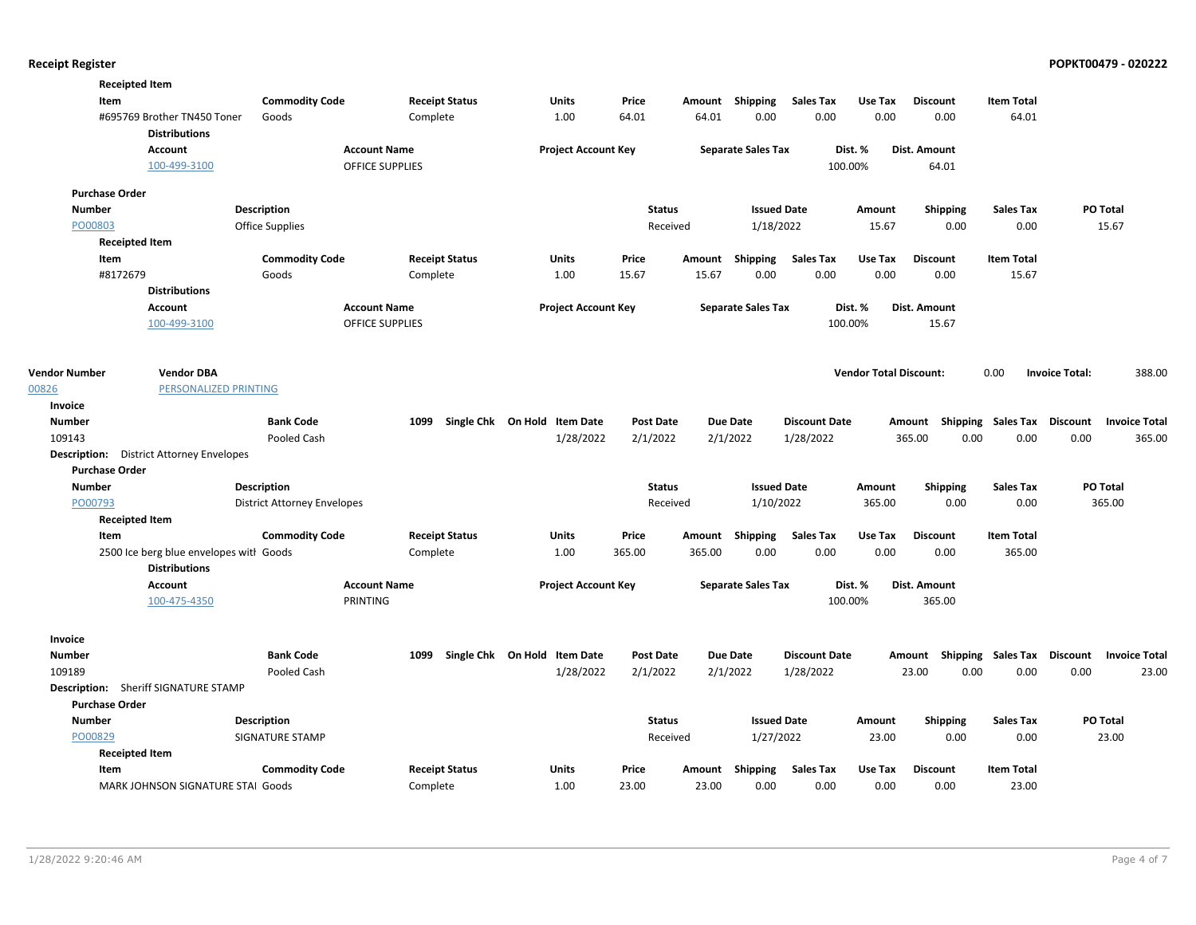| <b>Receipted Item</b> |                                                     |                                    |                        |                              |                  |        |                           |                      |                               |                                    |                   |                       |                      |
|-----------------------|-----------------------------------------------------|------------------------------------|------------------------|------------------------------|------------------|--------|---------------------------|----------------------|-------------------------------|------------------------------------|-------------------|-----------------------|----------------------|
| Item                  |                                                     | <b>Commodity Code</b>              | <b>Receipt Status</b>  | Units                        | Price            |        | Amount Shipping           | <b>Sales Tax</b>     | Use Tax                       | <b>Discount</b>                    | <b>Item Total</b> |                       |                      |
|                       | #695769 Brother TN450 Toner<br><b>Distributions</b> | Goods                              | Complete               | 1.00                         | 64.01            | 64.01  | 0.00                      | 0.00                 | 0.00                          | 0.00                               | 64.01             |                       |                      |
|                       | <b>Account</b>                                      |                                    | <b>Account Name</b>    | <b>Project Account Key</b>   |                  |        | <b>Separate Sales Tax</b> |                      | Dist. %                       | Dist. Amount                       |                   |                       |                      |
|                       | 100-499-3100                                        |                                    | <b>OFFICE SUPPLIES</b> |                              |                  |        |                           |                      | 100.00%                       | 64.01                              |                   |                       |                      |
|                       |                                                     |                                    |                        |                              |                  |        |                           |                      |                               |                                    |                   |                       |                      |
| <b>Purchase Order</b> |                                                     |                                    |                        |                              |                  |        |                           |                      |                               |                                    |                   |                       |                      |
| <b>Number</b>         |                                                     | <b>Description</b>                 |                        |                              | <b>Status</b>    |        | <b>Issued Date</b>        |                      | Amount                        | <b>Shipping</b>                    | <b>Sales Tax</b>  | PO Total              |                      |
| PO00803               |                                                     | <b>Office Supplies</b>             |                        |                              | Received         |        | 1/18/2022                 |                      | 15.67                         | 0.00                               | 0.00              | 15.67                 |                      |
| <b>Receipted Item</b> |                                                     |                                    |                        |                              |                  |        |                           |                      |                               |                                    |                   |                       |                      |
| Item                  |                                                     | <b>Commodity Code</b>              | <b>Receipt Status</b>  | <b>Units</b>                 | Price            | Amount | Shipping                  | <b>Sales Tax</b>     | Use Tax                       | <b>Discount</b>                    | <b>Item Total</b> |                       |                      |
| #8172679              |                                                     | Goods                              | Complete               | 1.00                         | 15.67            | 15.67  | 0.00                      | 0.00                 | 0.00                          | 0.00                               | 15.67             |                       |                      |
|                       | <b>Distributions</b>                                |                                    |                        |                              |                  |        |                           |                      |                               |                                    |                   |                       |                      |
|                       | <b>Account</b>                                      |                                    | <b>Account Name</b>    | <b>Project Account Key</b>   |                  |        | <b>Separate Sales Tax</b> |                      | Dist. %                       | Dist. Amount                       |                   |                       |                      |
|                       | 100-499-3100                                        |                                    | OFFICE SUPPLIES        |                              |                  |        |                           |                      | 100.00%                       | 15.67                              |                   |                       |                      |
|                       |                                                     |                                    |                        |                              |                  |        |                           |                      |                               |                                    |                   |                       |                      |
|                       |                                                     |                                    |                        |                              |                  |        |                           |                      |                               |                                    |                   |                       |                      |
| <b>Vendor Number</b>  | <b>Vendor DBA</b>                                   |                                    |                        |                              |                  |        |                           |                      | <b>Vendor Total Discount:</b> |                                    | 0.00              | <b>Invoice Total:</b> | 388.00               |
| 00826                 | PERSONALIZED PRINTING                               |                                    |                        |                              |                  |        |                           |                      |                               |                                    |                   |                       |                      |
| Invoice               |                                                     |                                    |                        |                              |                  |        |                           |                      |                               |                                    |                   |                       |                      |
| <b>Number</b>         |                                                     | <b>Bank Code</b>                   | 1099                   | Single Chk On Hold Item Date | <b>Post Date</b> |        | Due Date                  | <b>Discount Date</b> |                               | Amount Shipping Sales Tax Discount |                   |                       | <b>Invoice Total</b> |
| 109143                |                                                     | Pooled Cash                        |                        | 1/28/2022                    | 2/1/2022         |        | 2/1/2022                  | 1/28/2022            |                               | 365.00<br>0.00                     | 0.00              | 0.00                  | 365.00               |
|                       | <b>Description:</b> District Attorney Envelopes     |                                    |                        |                              |                  |        |                           |                      |                               |                                    |                   |                       |                      |
| <b>Purchase Order</b> |                                                     |                                    |                        |                              |                  |        |                           |                      |                               |                                    |                   |                       |                      |
| <b>Number</b>         |                                                     | <b>Description</b>                 |                        |                              | <b>Status</b>    |        | <b>Issued Date</b>        |                      | Amount                        | <b>Shipping</b>                    | <b>Sales Tax</b>  | PO Total              |                      |
| PO00793               |                                                     | <b>District Attorney Envelopes</b> |                        |                              | Received         |        | 1/10/2022                 |                      | 365.00                        | 0.00                               | 0.00              | 365.00                |                      |
| <b>Receipted Item</b> |                                                     |                                    |                        |                              |                  |        |                           |                      |                               |                                    |                   |                       |                      |
| Item                  |                                                     | <b>Commodity Code</b>              | <b>Receipt Status</b>  | Units                        | Price            | Amount | Shipping                  | <b>Sales Tax</b>     | Use Tax                       | <b>Discount</b>                    | <b>Item Total</b> |                       |                      |
|                       | 2500 Ice berg blue envelopes with Goods             |                                    | Complete               | 1.00                         | 365.00           | 365.00 | 0.00                      | 0.00                 | 0.00                          | 0.00                               | 365.00            |                       |                      |
|                       | <b>Distributions</b>                                |                                    |                        |                              |                  |        |                           |                      |                               |                                    |                   |                       |                      |
|                       | <b>Account</b>                                      |                                    | <b>Account Name</b>    | <b>Project Account Key</b>   |                  |        | <b>Separate Sales Tax</b> |                      | Dist. %                       | Dist. Amount                       |                   |                       |                      |
|                       | 100-475-4350                                        |                                    | PRINTING               |                              |                  |        |                           |                      | 100.00%                       | 365.00                             |                   |                       |                      |
| Invoice               |                                                     |                                    |                        |                              |                  |        |                           |                      |                               |                                    |                   |                       |                      |
| <b>Number</b>         |                                                     | <b>Bank Code</b>                   | 1099                   | Single Chk On Hold Item Date | <b>Post Date</b> |        | Due Date                  | <b>Discount Date</b> |                               | Amount Shipping Sales Tax Discount |                   |                       | <b>Invoice Total</b> |
| 109189                |                                                     | Pooled Cash                        |                        | 1/28/2022                    | 2/1/2022         |        | 2/1/2022                  | 1/28/2022            |                               | 0.00<br>23.00                      | 0.00              | 0.00                  | 23.00                |
|                       | <b>Description:</b> Sheriff SIGNATURE STAMP         |                                    |                        |                              |                  |        |                           |                      |                               |                                    |                   |                       |                      |
| <b>Purchase Order</b> |                                                     |                                    |                        |                              |                  |        |                           |                      |                               |                                    |                   |                       |                      |
| <b>Number</b>         |                                                     | <b>Description</b>                 |                        |                              | <b>Status</b>    |        | <b>Issued Date</b>        |                      | Amount                        | <b>Shipping</b>                    | <b>Sales Tax</b>  | PO Total              |                      |
| PO00829               |                                                     | <b>SIGNATURE STAMP</b>             |                        |                              | Received         |        | 1/27/2022                 |                      | 23.00                         | 0.00                               | 0.00              | 23.00                 |                      |
| <b>Receipted Item</b> |                                                     |                                    |                        |                              |                  |        |                           |                      |                               |                                    |                   |                       |                      |
| Item                  |                                                     | <b>Commodity Code</b>              | <b>Receipt Status</b>  | Units                        | Price            | Amount | Shipping                  | <b>Sales Tax</b>     | Use Tax                       | <b>Discount</b>                    | <b>Item Total</b> |                       |                      |
|                       | MARK JOHNSON SIGNATURE STAI Goods                   |                                    | Complete               | 1.00                         | 23.00            | 23.00  | 0.00                      | 0.00                 | 0.00                          | 0.00                               | 23.00             |                       |                      |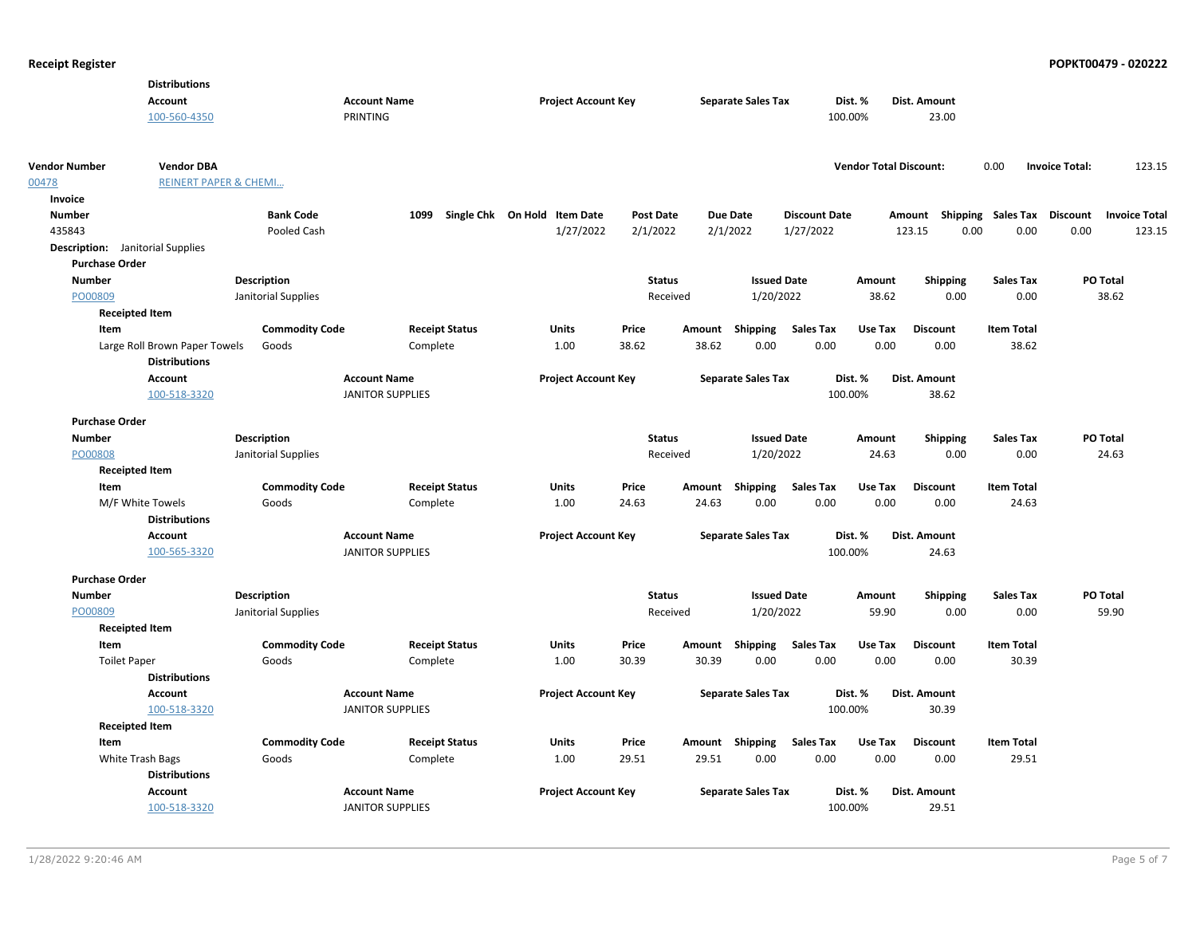|                                         | <b>Distributions</b>             |                       |                                                |                       |                              |       |                  |                           |                      |                               |                                    |                   |                       |                      |
|-----------------------------------------|----------------------------------|-----------------------|------------------------------------------------|-----------------------|------------------------------|-------|------------------|---------------------------|----------------------|-------------------------------|------------------------------------|-------------------|-----------------------|----------------------|
|                                         | <b>Account</b>                   |                       | <b>Account Name</b>                            |                       | <b>Project Account Key</b>   |       |                  | <b>Separate Sales Tax</b> |                      | Dist. %                       | Dist. Amount                       |                   |                       |                      |
|                                         | 100-560-4350                     |                       | PRINTING                                       |                       |                              |       |                  |                           |                      | 100.00%                       | 23.00                              |                   |                       |                      |
|                                         |                                  |                       |                                                |                       |                              |       |                  |                           |                      |                               |                                    |                   |                       |                      |
| <b>Vendor Number</b>                    | <b>Vendor DBA</b>                |                       |                                                |                       |                              |       |                  |                           |                      | <b>Vendor Total Discount:</b> |                                    | 0.00              | <b>Invoice Total:</b> | 123.15               |
| 00478                                   | <b>REINERT PAPER &amp; CHEMI</b> |                       |                                                |                       |                              |       |                  |                           |                      |                               |                                    |                   |                       |                      |
| Invoice<br>Number                       |                                  | <b>Bank Code</b>      |                                                | 1099                  | Single Chk On Hold Item Date |       | <b>Post Date</b> | <b>Due Date</b>           | <b>Discount Date</b> |                               | Amount Shipping Sales Tax Discount |                   |                       | <b>Invoice Total</b> |
| 435843                                  |                                  | Pooled Cash           |                                                |                       | 1/27/2022                    |       | 2/1/2022         | 2/1/2022                  | 1/27/2022            |                               | 123.15                             | 0.00<br>0.00      | 0.00                  | 123.15               |
| <b>Description:</b> Janitorial Supplies |                                  |                       |                                                |                       |                              |       |                  |                           |                      |                               |                                    |                   |                       |                      |
| <b>Purchase Order</b>                   |                                  |                       |                                                |                       |                              |       |                  |                           |                      |                               |                                    |                   |                       |                      |
| <b>Number</b>                           |                                  | <b>Description</b>    |                                                |                       |                              |       | <b>Status</b>    | <b>Issued Date</b>        |                      | Amount                        | <b>Shipping</b>                    | <b>Sales Tax</b>  | PO Total              |                      |
| PO00809                                 |                                  | Janitorial Supplies   |                                                |                       |                              |       | Received         | 1/20/2022                 |                      | 38.62                         | 0.00                               | 0.00              | 38.62                 |                      |
|                                         | <b>Receipted Item</b>            |                       |                                                |                       |                              |       |                  |                           |                      |                               |                                    |                   |                       |                      |
| Item                                    |                                  | <b>Commodity Code</b> |                                                | <b>Receipt Status</b> | <b>Units</b>                 | Price |                  | Amount Shipping           | <b>Sales Tax</b>     | Use Tax                       | <b>Discount</b>                    | <b>Item Total</b> |                       |                      |
|                                         | Large Roll Brown Paper Towels    | Goods                 |                                                | Complete              | 1.00                         | 38.62 | 38.62            | 0.00                      | 0.00                 | 0.00                          | 0.00                               | 38.62             |                       |                      |
|                                         | <b>Distributions</b>             |                       |                                                |                       |                              |       |                  |                           |                      |                               |                                    |                   |                       |                      |
|                                         | <b>Account</b>                   |                       | <b>Account Name</b>                            |                       | <b>Project Account Key</b>   |       |                  | <b>Separate Sales Tax</b> |                      | Dist. %                       | Dist. Amount                       |                   |                       |                      |
|                                         | 100-518-3320                     |                       | <b>JANITOR SUPPLIES</b>                        |                       |                              |       |                  |                           |                      | 100.00%                       | 38.62                              |                   |                       |                      |
|                                         |                                  |                       |                                                |                       |                              |       |                  |                           |                      |                               |                                    |                   |                       |                      |
| <b>Purchase Order</b>                   |                                  |                       |                                                |                       |                              |       |                  |                           |                      |                               |                                    |                   |                       |                      |
| <b>Number</b>                           |                                  | <b>Description</b>    |                                                |                       |                              |       | <b>Status</b>    | <b>Issued Date</b>        |                      | Amount                        | <b>Shipping</b>                    | <b>Sales Tax</b>  | PO Total              |                      |
| PO00808                                 |                                  | Janitorial Supplies   |                                                |                       |                              |       | Received         | 1/20/2022                 |                      | 24.63                         | 0.00                               | 0.00              | 24.63                 |                      |
|                                         | <b>Receipted Item</b>            |                       |                                                |                       |                              |       |                  |                           |                      |                               |                                    |                   |                       |                      |
| Item                                    |                                  | <b>Commodity Code</b> |                                                | <b>Receipt Status</b> | Units                        | Price | Amount           | Shipping                  | <b>Sales Tax</b>     | Use Tax                       | <b>Discount</b>                    | <b>Item Total</b> |                       |                      |
|                                         | M/F White Towels                 | Goods                 |                                                | Complete              | 1.00                         | 24.63 | 24.63            | 0.00                      | 0.00                 | 0.00                          | 0.00                               | 24.63             |                       |                      |
|                                         | <b>Distributions</b>             |                       |                                                |                       |                              |       |                  |                           |                      |                               |                                    |                   |                       |                      |
|                                         | Account<br>100-565-3320          |                       | <b>Account Name</b><br><b>JANITOR SUPPLIES</b> |                       | <b>Project Account Key</b>   |       |                  | <b>Separate Sales Tax</b> |                      | Dist. %<br>100.00%            | Dist. Amount                       |                   |                       |                      |
|                                         |                                  |                       |                                                |                       |                              |       |                  |                           |                      |                               | 24.63                              |                   |                       |                      |
| <b>Purchase Order</b>                   |                                  |                       |                                                |                       |                              |       |                  |                           |                      |                               |                                    |                   |                       |                      |
| <b>Number</b>                           |                                  | <b>Description</b>    |                                                |                       |                              |       | <b>Status</b>    | <b>Issued Date</b>        |                      | Amount                        | <b>Shipping</b>                    | <b>Sales Tax</b>  | PO Total              |                      |
| PO00809                                 |                                  | Janitorial Supplies   |                                                |                       |                              |       | Received         | 1/20/2022                 |                      | 59.90                         | 0.00                               | 0.00              | 59.90                 |                      |
|                                         | <b>Receipted Item</b>            |                       |                                                |                       |                              |       |                  |                           |                      |                               |                                    |                   |                       |                      |
| Item                                    |                                  | <b>Commodity Code</b> |                                                | <b>Receipt Status</b> | <b>Units</b>                 | Price | Amount           | Shipping                  | <b>Sales Tax</b>     | Use Tax                       | <b>Discount</b>                    | <b>Item Total</b> |                       |                      |
| <b>Toilet Paper</b>                     |                                  | Goods                 |                                                | Complete              | 1.00                         | 30.39 | 30.39            | 0.00                      | 0.00                 | 0.00                          | 0.00                               | 30.39             |                       |                      |
|                                         | <b>Distributions</b>             |                       |                                                |                       |                              |       |                  |                           |                      |                               |                                    |                   |                       |                      |
|                                         | <b>Account</b>                   |                       | <b>Account Name</b>                            |                       | <b>Project Account Key</b>   |       |                  | <b>Separate Sales Tax</b> |                      | Dist. %                       | Dist. Amount                       |                   |                       |                      |
|                                         | 100-518-3320                     |                       | <b>JANITOR SUPPLIES</b>                        |                       |                              |       |                  |                           |                      | 100.00%                       | 30.39                              |                   |                       |                      |
|                                         | <b>Receipted Item</b>            |                       |                                                |                       |                              |       |                  |                           |                      |                               |                                    |                   |                       |                      |
| Item                                    |                                  | <b>Commodity Code</b> |                                                | <b>Receipt Status</b> | Units                        | Price |                  | Amount Shipping           | <b>Sales Tax</b>     | Use Tax                       | <b>Discount</b>                    | <b>Item Total</b> |                       |                      |
|                                         | White Trash Bags                 | Goods                 |                                                | Complete              | 1.00                         | 29.51 | 29.51            | 0.00                      | 0.00                 | 0.00                          | 0.00                               | 29.51             |                       |                      |
|                                         | <b>Distributions</b>             |                       |                                                |                       |                              |       |                  |                           |                      |                               |                                    |                   |                       |                      |
|                                         | Account                          |                       | <b>Account Name</b>                            |                       | <b>Project Account Key</b>   |       |                  | <b>Separate Sales Tax</b> |                      | Dist. %                       | Dist. Amount                       |                   |                       |                      |
|                                         | 100-518-3320                     |                       | <b>JANITOR SUPPLIES</b>                        |                       |                              |       |                  |                           |                      | 100.00%                       | 29.51                              |                   |                       |                      |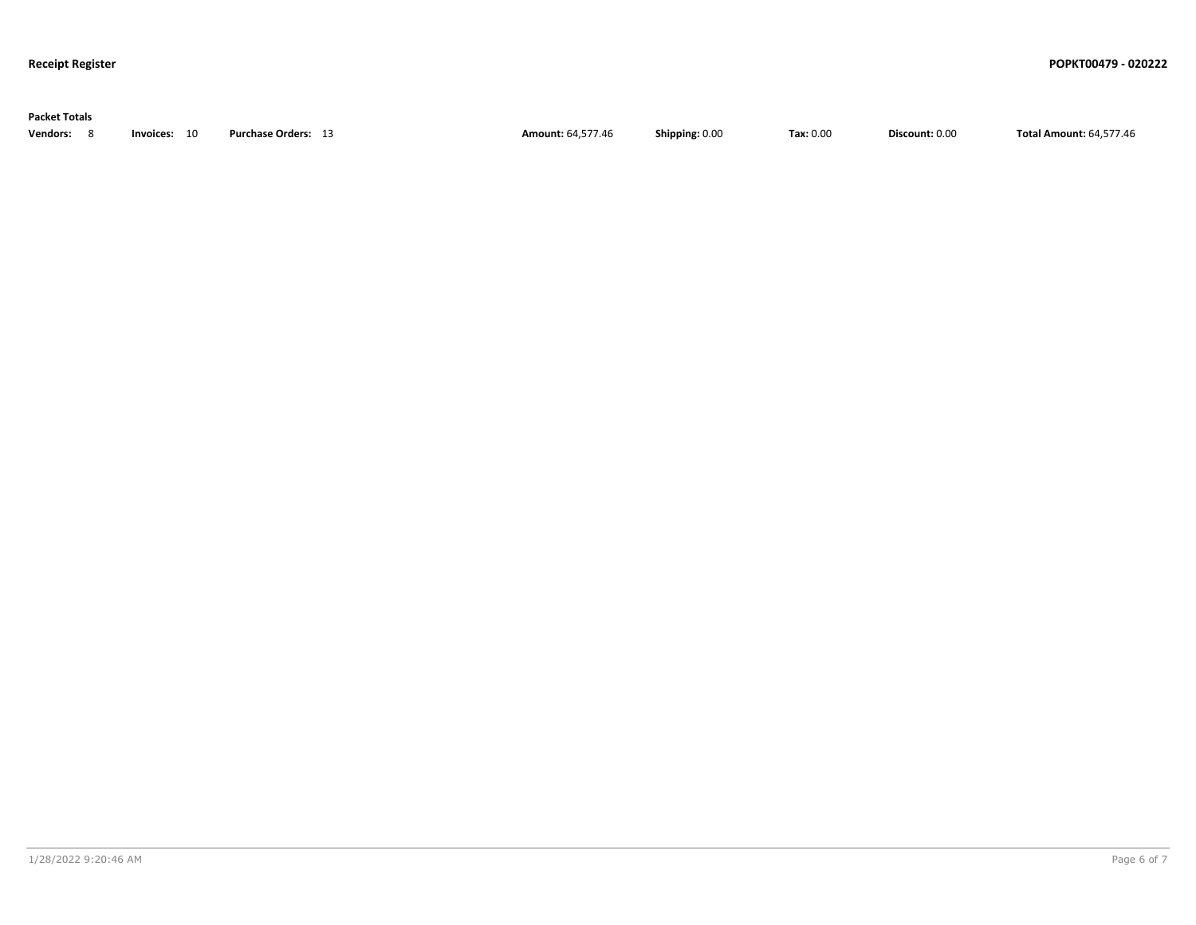| <b>Packet Totals</b> |              |                            |                          |                |           |                |                                |
|----------------------|--------------|----------------------------|--------------------------|----------------|-----------|----------------|--------------------------------|
| Vendors: 8           | Invoices: 10 | <b>Purchase Orders: 13</b> | <b>Amount: 64,577.46</b> | Shipping: 0.00 | Tax: 0.00 | Discount: 0.00 | <b>Total Amount: 64,577.46</b> |